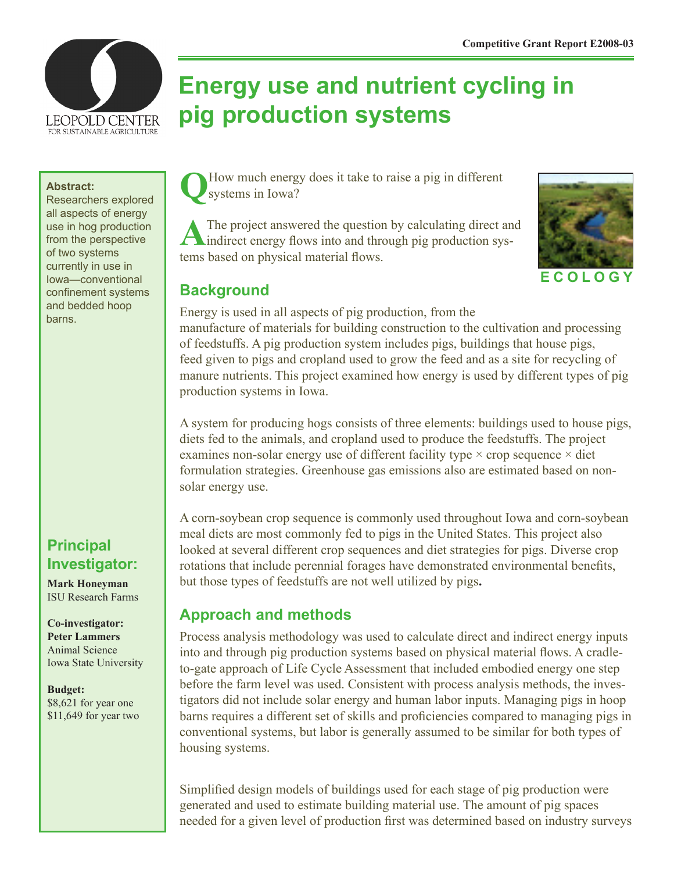

# **Energy use and nutrient cycling in pig production systems**

#### **Abstract:**

Researchers explored all aspects of energy use in hog production from the perspective of two systems currently in use in Iowa—conventional confinement systems and bedded hoop barns.

# **Principal Investigator:**

**Mark Honeyman** ISU Research Farms

**Co-investigator: Peter Lammers** Animal Science Iowa State University

#### **Budget:** \$8,621 for year one \$11,649 for year two

How much energy does it take to raise a pig in different systems in Iowa?

A The project answered the question by calculating direct and indirect energy flows into and through pig production systems based on physical material flows.



## **Background**

Energy is used in all aspects of pig production, from the manufacture of materials for building construction to the cultivation and processing of feedstuffs. A pig production system includes pigs, buildings that house pigs, feed given to pigs and cropland used to grow the feed and as a site for recycling of manure nutrients. This project examined how energy is used by different types of pig production systems in Iowa.

A system for producing hogs consists of three elements: buildings used to house pigs, diets fed to the animals, and cropland used to produce the feedstuffs. The project examines non-solar energy use of different facility type  $\times$  crop sequence  $\times$  diet formulation strategies. Greenhouse gas emissions also are estimated based on nonsolar energy use.

A corn-soybean crop sequence is commonly used throughout Iowa and corn-soybean meal diets are most commonly fed to pigs in the United States. This project also looked at several different crop sequences and diet strategies for pigs. Diverse crop rotations that include perennial forages have demonstrated environmental benefits, but those types of feedstuffs are not well utilized by pigs**.** 

# **Approach and methods**

Process analysis methodology was used to calculate direct and indirect energy inputs into and through pig production systems based on physical material flows. A cradleto-gate approach of Life Cycle Assessment that included embodied energy one step before the farm level was used. Consistent with process analysis methods, the investigators did not include solar energy and human labor inputs. Managing pigs in hoop barns requires a different set of skills and proficiencies compared to managing pigs in conventional systems, but labor is generally assumed to be similar for both types of housing systems.

Simplified design models of buildings used for each stage of pig production were generated and used to estimate building material use. The amount of pig spaces needed for a given level of production first was determined based on industry surveys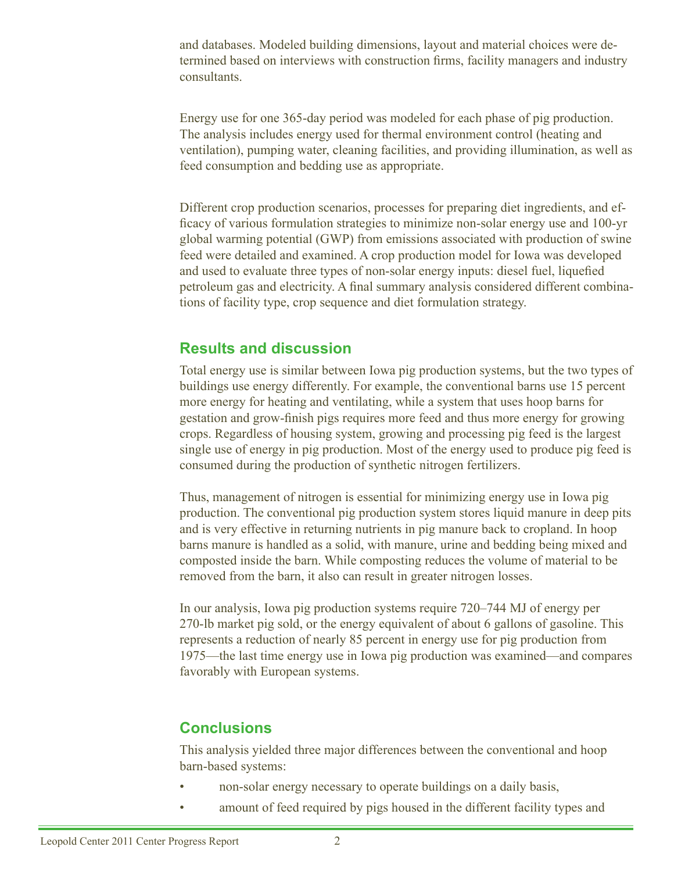and databases. Modeled building dimensions, layout and material choices were determined based on interviews with construction firms, facility managers and industry consultants.

Energy use for one 365-day period was modeled for each phase of pig production. The analysis includes energy used for thermal environment control (heating and ventilation), pumping water, cleaning facilities, and providing illumination, as well as feed consumption and bedding use as appropriate.

Different crop production scenarios, processes for preparing diet ingredients, and efficacy of various formulation strategies to minimize non-solar energy use and 100-yr global warming potential (GWP) from emissions associated with production of swine feed were detailed and examined. A crop production model for Iowa was developed and used to evaluate three types of non-solar energy inputs: diesel fuel, liquefied petroleum gas and electricity. A final summary analysis considered different combinations of facility type, crop sequence and diet formulation strategy.

#### **Results and discussion**

Total energy use is similar between Iowa pig production systems, but the two types of buildings use energy differently. For example, the conventional barns use 15 percent more energy for heating and ventilating, while a system that uses hoop barns for gestation and grow-finish pigs requires more feed and thus more energy for growing crops. Regardless of housing system, growing and processing pig feed is the largest single use of energy in pig production. Most of the energy used to produce pig feed is consumed during the production of synthetic nitrogen fertilizers.

Thus, management of nitrogen is essential for minimizing energy use in Iowa pig production. The conventional pig production system stores liquid manure in deep pits and is very effective in returning nutrients in pig manure back to cropland. In hoop barns manure is handled as a solid, with manure, urine and bedding being mixed and composted inside the barn. While composting reduces the volume of material to be removed from the barn, it also can result in greater nitrogen losses.

In our analysis, Iowa pig production systems require 720–744 MJ of energy per 270-lb market pig sold, or the energy equivalent of about 6 gallons of gasoline. This represents a reduction of nearly 85 percent in energy use for pig production from 1975—the last time energy use in Iowa pig production was examined—and compares favorably with European systems.

# **Conclusions**

This analysis yielded three major differences between the conventional and hoop barn-based systems:

- non-solar energy necessary to operate buildings on a daily basis,
- amount of feed required by pigs housed in the different facility types and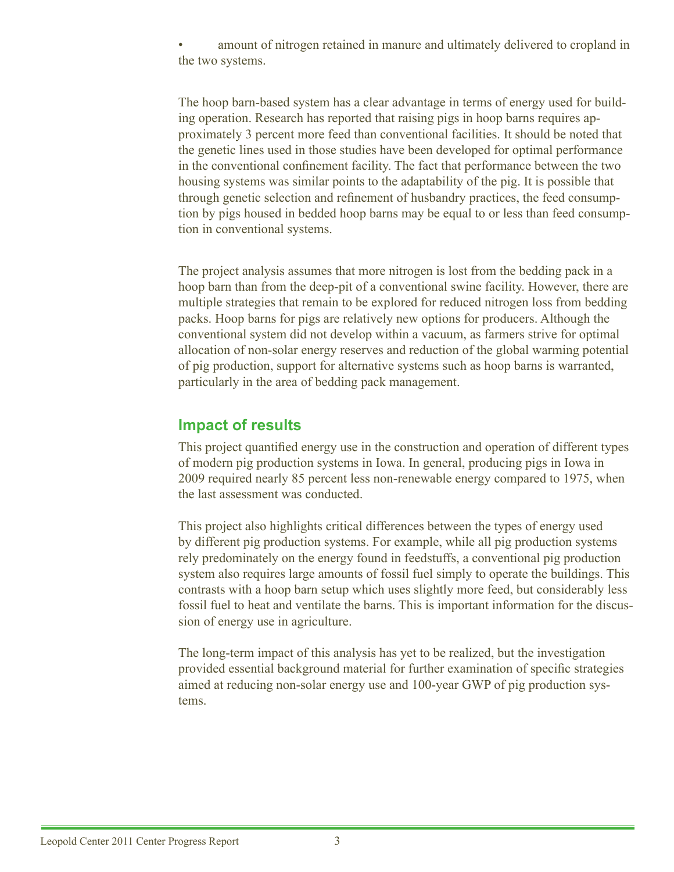amount of nitrogen retained in manure and ultimately delivered to cropland in the two systems.

The hoop barn-based system has a clear advantage in terms of energy used for building operation. Research has reported that raising pigs in hoop barns requires approximately 3 percent more feed than conventional facilities. It should be noted that the genetic lines used in those studies have been developed for optimal performance in the conventional confinement facility. The fact that performance between the two housing systems was similar points to the adaptability of the pig. It is possible that through genetic selection and refinement of husbandry practices, the feed consumption by pigs housed in bedded hoop barns may be equal to or less than feed consumption in conventional systems.

The project analysis assumes that more nitrogen is lost from the bedding pack in a hoop barn than from the deep-pit of a conventional swine facility. However, there are multiple strategies that remain to be explored for reduced nitrogen loss from bedding packs. Hoop barns for pigs are relatively new options for producers. Although the conventional system did not develop within a vacuum, as farmers strive for optimal allocation of non-solar energy reserves and reduction of the global warming potential of pig production, support for alternative systems such as hoop barns is warranted, particularly in the area of bedding pack management.

## **Impact of results**

This project quantified energy use in the construction and operation of different types of modern pig production systems in Iowa. In general, producing pigs in Iowa in 2009 required nearly 85 percent less non-renewable energy compared to 1975, when the last assessment was conducted.

This project also highlights critical differences between the types of energy used by different pig production systems. For example, while all pig production systems rely predominately on the energy found in feedstuffs, a conventional pig production system also requires large amounts of fossil fuel simply to operate the buildings. This contrasts with a hoop barn setup which uses slightly more feed, but considerably less fossil fuel to heat and ventilate the barns. This is important information for the discussion of energy use in agriculture.

The long-term impact of this analysis has yet to be realized, but the investigation provided essential background material for further examination of specific strategies aimed at reducing non-solar energy use and 100-year GWP of pig production systems.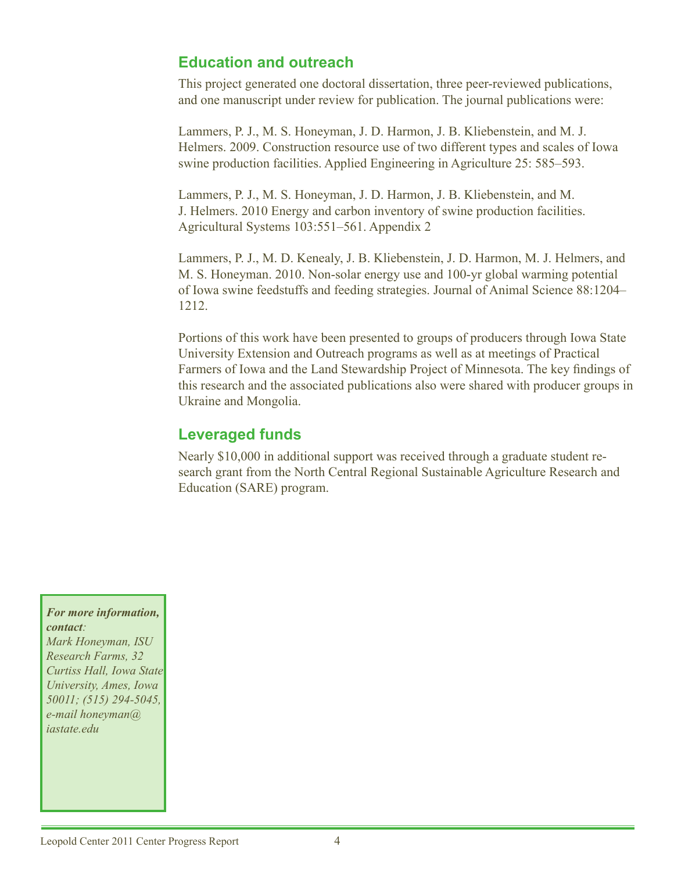# **Education and outreach**

This project generated one doctoral dissertation, three peer-reviewed publications, and one manuscript under review for publication. The journal publications were:

Lammers, P. J., M. S. Honeyman, J. D. Harmon, J. B. Kliebenstein, and M. J. Helmers. 2009. Construction resource use of two different types and scales of Iowa swine production facilities. Applied Engineering in Agriculture 25: 585–593.

Lammers, P. J., M. S. Honeyman, J. D. Harmon, J. B. Kliebenstein, and M. J. Helmers. 2010 Energy and carbon inventory of swine production facilities. Agricultural Systems 103:551–561. Appendix 2

Lammers, P. J., M. D. Kenealy, J. B. Kliebenstein, J. D. Harmon, M. J. Helmers, and M. S. Honeyman. 2010. Non-solar energy use and 100-yr global warming potential of Iowa swine feedstuffs and feeding strategies. Journal of Animal Science 88:1204– 1212.

Portions of this work have been presented to groups of producers through Iowa State University Extension and Outreach programs as well as at meetings of Practical Farmers of Iowa and the Land Stewardship Project of Minnesota. The key findings of this research and the associated publications also were shared with producer groups in Ukraine and Mongolia.

## **Leveraged funds**

Nearly \$10,000 in additional support was received through a graduate student research grant from the North Central Regional Sustainable Agriculture Research and Education (SARE) program.

#### *For more information, contact:*

*Mark Honeyman, ISU Research Farms, 32 Curtiss Hall, Iowa State University, Ames, Iowa 50011; (515) 294-5045, e-mail honeyman@ iastate.edu*